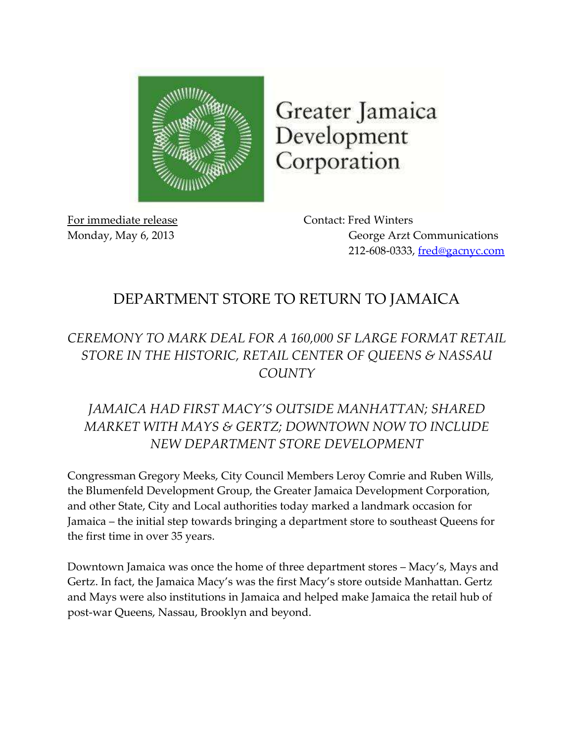

Greater Jamaica Development Corporation

For immediate release Contact: Fred Winters

Monday, May 6, 2013 George Arzt Communications 212-608-0333, [fred@gacnyc.com](mailto:fred@gacnyc.com)

## DEPARTMENT STORE TO RETURN TO JAMAICA

## *CEREMONY TO MARK DEAL FOR A 160,000 SF LARGE FORMAT RETAIL STORE IN THE HISTORIC, RETAIL CENTER OF QUEENS & NASSAU COUNTY*

## *JAMAICA HAD FIRST MACY'S OUTSIDE MANHATTAN; SHARED MARKET WITH MAYS & GERTZ; DOWNTOWN NOW TO INCLUDE NEW DEPARTMENT STORE DEVELOPMENT*

Congressman Gregory Meeks, City Council Members Leroy Comrie and Ruben Wills, the Blumenfeld Development Group, the Greater Jamaica Development Corporation, and other State, City and Local authorities today marked a landmark occasion for Jamaica – the initial step towards bringing a department store to southeast Queens for the first time in over 35 years.

Downtown Jamaica was once the home of three department stores – Macy's, Mays and Gertz. In fact, the Jamaica Macy's was the first Macy's store outside Manhattan. Gertz and Mays were also institutions in Jamaica and helped make Jamaica the retail hub of post-war Queens, Nassau, Brooklyn and beyond.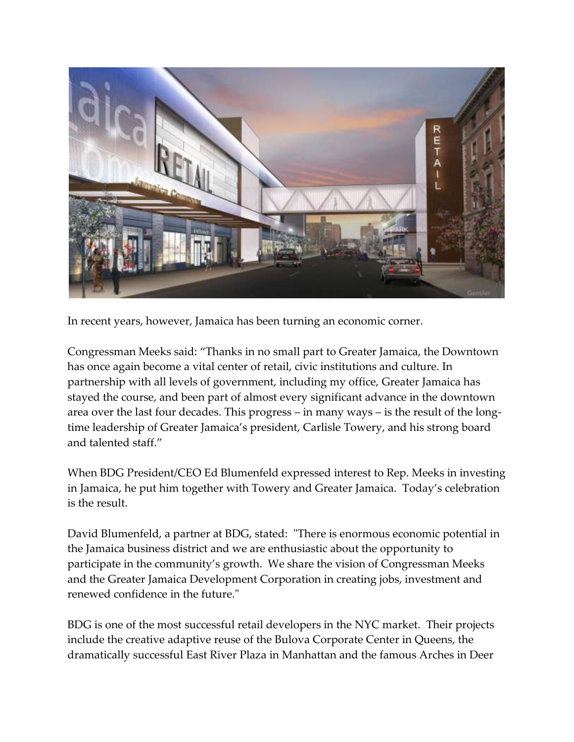

In recent years, however, Jamaica has been turning an economic corner.

Congressman Meeks said: "Thanks in no small part to Greater Jamaica, the Downtown has once again become a vital center of retail, civic institutions and culture. In partnership with all levels of government, including my office, Greater Jamaica has stayed the course, and been part of almost every significant advance in the downtown area over the last four decades. This progress – in many ways – is the result of the longtime leadership of Greater Jamaica's president, Carlisle Towery, and his strong board and talented staff."

When BDG President/CEO Ed Blumenfeld expressed interest to Rep. Meeks in investing in Jamaica, he put him together with Towery and Greater Jamaica. Today's celebration is the result.

David Blumenfeld, a partner at BDG, stated: "There is enormous economic potential in the Jamaica business district and we are enthusiastic about the opportunity to participate in the community's growth. We share the vision of Congressman Meeks and the Greater Jamaica Development Corporation in creating jobs, investment and renewed confidence in the future."

BDG is one of the most successful retail developers in the NYC market. Their projects include the creative adaptive reuse of the Bulova Corporate Center in Queens, the dramatically successful East River Plaza in Manhattan and the famous Arches in Deer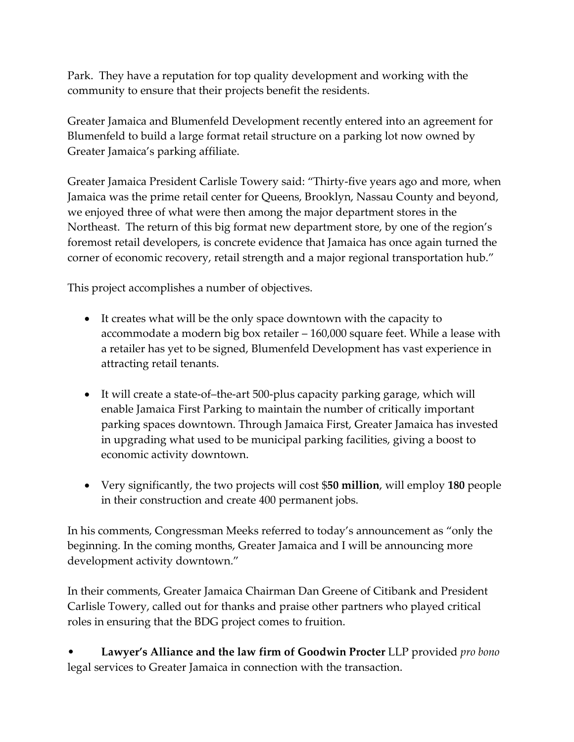Park. They have a reputation for top quality development and working with the community to ensure that their projects benefit the residents.

Greater Jamaica and Blumenfeld Development recently entered into an agreement for Blumenfeld to build a large format retail structure on a parking lot now owned by Greater Jamaica's parking affiliate.

Greater Jamaica President Carlisle Towery said: "Thirty-five years ago and more, when Jamaica was the prime retail center for Queens, Brooklyn, Nassau County and beyond, we enjoyed three of what were then among the major department stores in the Northeast. The return of this big format new department store, by one of the region's foremost retail developers, is concrete evidence that Jamaica has once again turned the corner of economic recovery, retail strength and a major regional transportation hub."

This project accomplishes a number of objectives.

- It creates what will be the only space downtown with the capacity to accommodate a modern big box retailer – 160,000 square feet. While a lease with a retailer has yet to be signed, Blumenfeld Development has vast experience in attracting retail tenants.
- It will create a state-of–the-art 500-plus capacity parking garage, which will enable Jamaica First Parking to maintain the number of critically important parking spaces downtown. Through Jamaica First, Greater Jamaica has invested in upgrading what used to be municipal parking facilities, giving a boost to economic activity downtown.
- Very significantly, the two projects will cost \$**50 million**, will employ **180** people in their construction and create 400 permanent jobs.

In his comments, Congressman Meeks referred to today's announcement as "only the beginning. In the coming months, Greater Jamaica and I will be announcing more development activity downtown."

In their comments, Greater Jamaica Chairman Dan Greene of Citibank and President Carlisle Towery, called out for thanks and praise other partners who played critical roles in ensuring that the BDG project comes to fruition.

• **Lawyer's Alliance and the law firm of Goodwin Procter** LLP provided *pro bono* legal services to Greater Jamaica in connection with the transaction.